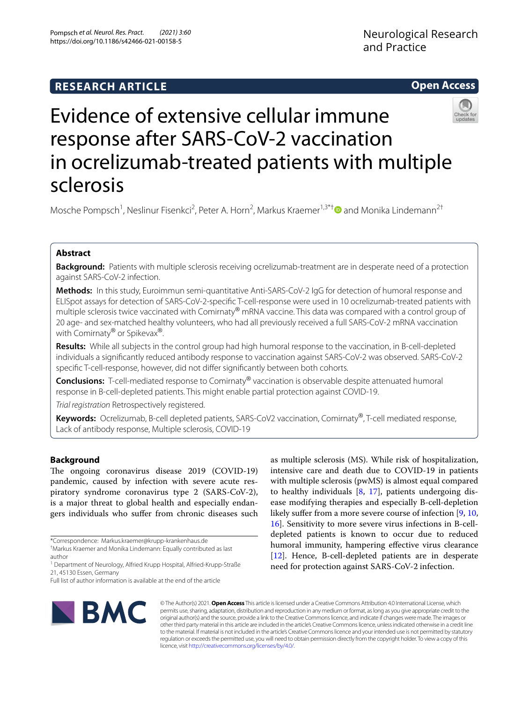# **Open Access**



# Evidence of extensive cellular immune response after SARS-CoV-2 vaccination in ocrelizumab-treated patients with multiple sclerosis

Mosche Pompsch<sup>1</sup>, Neslinur Fisenkci<sup>2</sup>, Peter A. Horn<sup>2</sup>, Markus Kraemer<sup>1,3\*[†](http://orcid.org/0000-0002-5667-3621)</sup> and Monika Lindemann<sup>2†</sup>

# **Abstract**

**Background:** Patients with multiple sclerosis receiving ocrelizumab-treatment are in desperate need of a protection against SARS-CoV-2 infection.

**Methods:** In this study, Euroimmun semi-quantitative Anti-SARS-CoV-2 IgG for detection of humoral response and ELISpot assays for detection of SARS-CoV-2-specifc T-cell-response were used in 10 ocrelizumab-treated patients with multiple sclerosis twice vaccinated with Comirnaty® mRNA vaccine. This data was compared with a control group of 20 age- and sex-matched healthy volunteers, who had all previously received a full SARS-CoV-2 mRNA vaccination with Comirnaty<sup>®</sup> or Spikevax<sup>®</sup>.

**Results:** While all subjects in the control group had high humoral response to the vaccination, in B-cell-depleted individuals a signifcantly reduced antibody response to vaccination against SARS-CoV-2 was observed. SARS-CoV-2 specifc T-cell-response, however, did not difer signifcantly between both cohorts.

**Conclusions:** T-cell-mediated response to Comirnaty® vaccination is observable despite attenuated humoral response in B-cell-depleted patients. This might enable partial protection against COVID-19.

*Trial registration* Retrospectively registered.

**Keywords:** Ocrelizumab, B-cell depleted patients, SARS-CoV2 vaccination, Comirnaty®, T-cell mediated response, Lack of antibody response, Multiple sclerosis, COVID-19

# **Background**

The ongoing coronavirus disease 2019 (COVID-19) pandemic, caused by infection with severe acute respiratory syndrome coronavirus type 2 (SARS-CoV-2), is a major threat to global health and especially endangers individuals who sufer from chronic diseases such

Full list of author information is available at the end of the article



as multiple sclerosis (MS). While risk of hospitalization, intensive care and death due to COVID-19 in patients with multiple sclerosis (pwMS) is almost equal compared to healthy individuals [[8,](#page-4-0) [17](#page-5-0)], patients undergoing disease modifying therapies and especially B-cell-depletion likely suffer from a more severe course of infection [[9,](#page-4-1) [10](#page-4-2), [16\]](#page-5-1). Sensitivity to more severe virus infections in B-celldepleted patients is known to occur due to reduced humoral immunity, hampering efective virus clearance [[12\]](#page-4-3). Hence, B-cell-depleted patients are in desperate need for protection against SARS-CoV-2 infection.

© The Author(s) 2021. **Open Access** This article is licensed under a Creative Commons Attribution 4.0 International License, which permits use, sharing, adaptation, distribution and reproduction in any medium or format, as long as you give appropriate credit to the original author(s) and the source, provide a link to the Creative Commons licence, and indicate if changes were made. The images or other third party material in this article are included in the article's Creative Commons licence, unless indicated otherwise in a credit line to the material. If material is not included in the article's Creative Commons licence and your intended use is not permitted by statutory regulation or exceeds the permitted use, you will need to obtain permission directly from the copyright holder. To view a copy of this licence, visit [http://creativecommons.org/licenses/by/4.0/.](http://creativecommons.org/licenses/by/4.0/)

<sup>\*</sup>Correspondence: Markus.kraemer@krupp-krankenhaus.de

<sup>†</sup> Markus Kraemer and Monika Lindemann: Equally contributed as last author

<sup>&</sup>lt;sup>1</sup> Department of Neurology, Alfried Krupp Hospital, Alfried-Krupp-Straße 21, 45130 Essen, Germany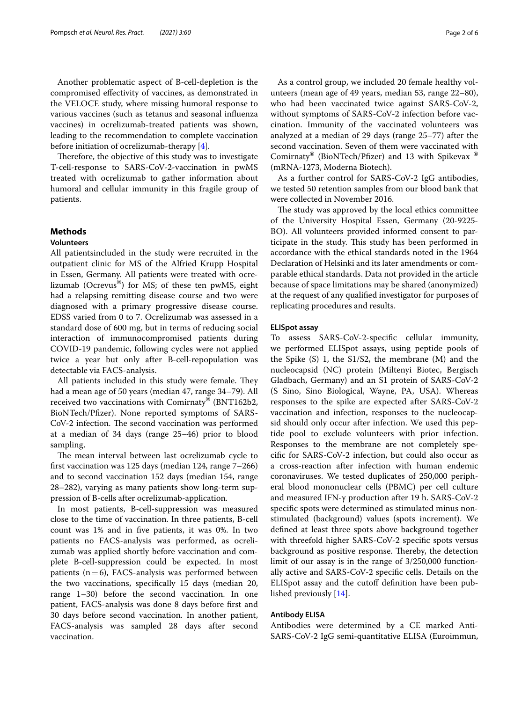Another problematic aspect of B-cell-depletion is the compromised efectivity of vaccines, as demonstrated in the VELOCE study, where missing humoral response to various vaccines (such as tetanus and seasonal infuenza vaccines) in ocrelizumab-treated patients was shown, leading to the recommendation to complete vaccination before initiation of ocrelizumab-therapy [[4\]](#page-4-4).

Therefore, the objective of this study was to investigate T-cell-response to SARS-CoV-2-vaccination in pwMS treated with ocrelizumab to gather information about humoral and cellular immunity in this fragile group of patients.

# **Methods**

#### **Volunteers**

All patientsincluded in the study were recruited in the outpatient clinic for MS of the Alfried Krupp Hospital in Essen, Germany. All patients were treated with ocrelizumab (Ocrevus®) for MS; of these ten pwMS, eight had a relapsing remitting disease course and two were diagnosed with a primary progressive disease course. EDSS varied from 0 to 7. Ocrelizumab was assessed in a standard dose of 600 mg, but in terms of reducing social interaction of immunocompromised patients during COVID-19 pandemic, following cycles were not applied twice a year but only after B-cell-repopulation was detectable via FACS-analysis.

All patients included in this study were female. They had a mean age of 50 years (median 47, range 34–79). All received two vaccinations with Comirnaty® (BNT162b2, BioNTech/Pfzer). None reported symptoms of SARS-CoV-2 infection. The second vaccination was performed at a median of 34 days (range 25–46) prior to blood sampling.

The mean interval between last ocrelizumab cycle to frst vaccination was 125 days (median 124, range 7–266) and to second vaccination 152 days (median 154, range 28–282), varying as many patients show long-term suppression of B-cells after ocrelizumab-application.

In most patients, B-cell-suppression was measured close to the time of vaccination. In three patients, B-cell count was 1% and in fve patients, it was 0%. In two patients no FACS-analysis was performed, as ocrelizumab was applied shortly before vaccination and complete B-cell-suppression could be expected. In most patients  $(n=6)$ , FACS-analysis was performed between the two vaccinations, specifcally 15 days (median 20, range 1–30) before the second vaccination. In one patient, FACS-analysis was done 8 days before frst and 30 days before second vaccination. In another patient, FACS-analysis was sampled 28 days after second vaccination.

As a control group, we included 20 female healthy volunteers (mean age of 49 years, median 53, range 22–80), who had been vaccinated twice against SARS-CoV-2, without symptoms of SARS-CoV-2 infection before vaccination. Immunity of the vaccinated volunteers was analyzed at a median of 29 days (range 25–77) after the second vaccination. Seven of them were vaccinated with Comirnaty® (BioNTech/Pfzer) and 13 with Spikevax ® (mRNA-1273, Moderna Biotech).

As a further control for SARS-CoV-2 IgG antibodies, we tested 50 retention samples from our blood bank that were collected in November 2016.

The study was approved by the local ethics committee of the University Hospital Essen, Germany (20-9225- BO). All volunteers provided informed consent to participate in the study. This study has been performed in accordance with the ethical standards noted in the 1964 Declaration of Helsinki and its later amendments or comparable ethical standards. Data not provided in the article because of space limitations may be shared (anonymized) at the request of any qualifed investigator for purposes of replicating procedures and results.

## **ELISpot assay**

To assess SARS-CoV-2-specifc cellular immunity, we performed ELISpot assays, using peptide pools of the Spike (S) 1, the S1/S2, the membrane (M) and the nucleocapsid (NC) protein (Miltenyi Biotec, Bergisch Gladbach, Germany) and an S1 protein of SARS-CoV-2 (S Sino, Sino Biological, Wayne, PA, USA). Whereas responses to the spike are expected after SARS-CoV-2 vaccination and infection, responses to the nucleocapsid should only occur after infection. We used this peptide pool to exclude volunteers with prior infection. Responses to the membrane are not completely specifc for SARS-CoV-2 infection, but could also occur as a cross-reaction after infection with human endemic coronaviruses. We tested duplicates of 250,000 peripheral blood mononuclear cells (PBMC) per cell culture and measured IFN-γ production after 19 h. SARS-CoV-2 specifc spots were determined as stimulated minus nonstimulated (background) values (spots increment). We defned at least three spots above background together with threefold higher SARS-CoV-2 specifc spots versus background as positive response. Thereby, the detection limit of our assay is in the range of 3/250,000 functionally active and SARS-CoV-2 specifc cells. Details on the ELISpot assay and the cutoff definition have been published previously [[14\]](#page-5-2).

# **Antibody ELISA**

Antibodies were determined by a CE marked Anti-SARS-CoV-2 IgG semi-quantitative ELISA (Euroimmun,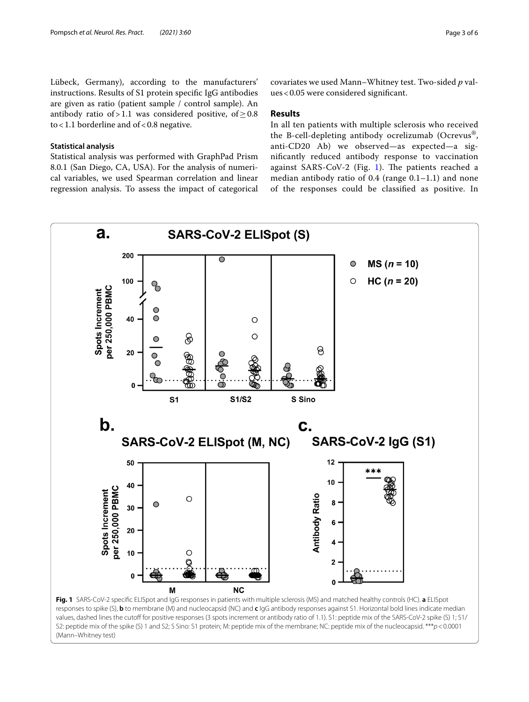Lübeck, Germany), according to the manufacturers' instructions. Results of S1 protein specifc IgG antibodies are given as ratio (patient sample / control sample). An antibody ratio of > 1.1 was considered positive, of  $\geq$  0.8 to  $<$  1.1 borderline and of  $<$  0.8 negative.

# **Statistical analysis**

Statistical analysis was performed with GraphPad Prism 8.0.1 (San Diego, CA, USA). For the analysis of numerical variables, we used Spearman correlation and linear regression analysis. To assess the impact of categorical

covariates we used Mann–Whitney test. Two-sided *p* values<0.05 were considered signifcant.

# **Results**

In all ten patients with multiple sclerosis who received the B-cell-depleting antibody ocrelizumab (Ocrevus®, anti-CD20 Ab) we observed—as expected—a signifcantly reduced antibody response to vaccination against SARS-CoV-2 (Fig. [1](#page-2-0)). The patients reached a median antibody ratio of 0.4 (range 0.1–1.1) and none of the responses could be classifed as positive. In



<span id="page-2-0"></span>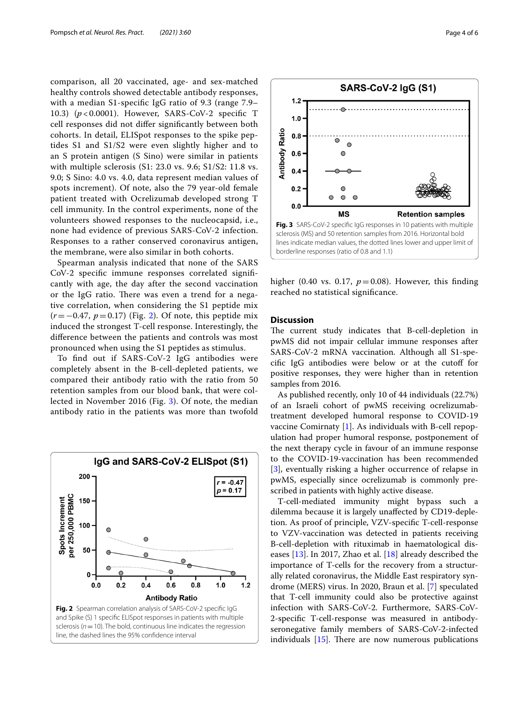comparison, all 20 vaccinated, age- and sex-matched healthy controls showed detectable antibody responses, with a median S1-specifc IgG ratio of 9.3 (range 7.9– 10.3) (*p* < 0.0001). However, SARS-CoV-2 specifc T cell responses did not difer signifcantly between both cohorts. In detail, ELISpot responses to the spike peptides S1 and S1/S2 were even slightly higher and to an S protein antigen (S Sino) were similar in patients with multiple sclerosis (S1: 23.0 vs. 9.6; S1/S2: 11.8 vs. 9.0; S Sino: 4.0 vs. 4.0, data represent median values of spots increment). Of note, also the 79 year-old female patient treated with Ocrelizumab developed strong T cell immunity. In the control experiments, none of the volunteers showed responses to the nucleocapsid, i.e., none had evidence of previous SARS-CoV-2 infection. Responses to a rather conserved coronavirus antigen, the membrane, were also similar in both cohorts.

Spearman analysis indicated that none of the SARS CoV-2 specifc immune responses correlated signifcantly with age, the day after the second vaccination or the IgG ratio. There was even a trend for a negative correlation, when considering the S1 peptide mix (*r*=−0.47, *p*=0.17) (Fig. [2\)](#page-3-0). Of note, this peptide mix induced the strongest T-cell response. Interestingly, the diference between the patients and controls was most pronounced when using the S1 peptides as stimulus.

To fnd out if SARS-CoV-2 IgG antibodies were completely absent in the B-cell-depleted patients, we compared their antibody ratio with the ratio from 50 retention samples from our blood bank, that were collected in November 2016 (Fig. [3](#page-3-1)). Of note, the median antibody ratio in the patients was more than twofold

<span id="page-3-0"></span>



<span id="page-3-1"></span>higher (0.40 vs. 0.17,  $p=0.08$ ). However, this finding

# **Discussion**

reached no statistical signifcance.

The current study indicates that B-cell-depletion in pwMS did not impair cellular immune responses after SARS-CoV-2 mRNA vaccination. Although all S1-specifc IgG antibodies were below or at the cutof for positive responses, they were higher than in retention samples from 2016.

As published recently, only 10 of 44 individuals (22.7%) of an Israeli cohort of pwMS receiving ocrelizumabtreatment developed humoral response to COVID-19 vaccine Comirnaty [\[1](#page-4-5)]. As individuals with B-cell repopulation had proper humoral response, postponement of the next therapy cycle in favour of an immune response to the COVID-19-vaccination has been recommended [[3\]](#page-4-6), eventually risking a higher occurrence of relapse in pwMS, especially since ocrelizumab is commonly prescribed in patients with highly active disease.

T-cell-mediated immunity might bypass such a dilemma because it is largely unafected by CD19-depletion. As proof of principle, VZV-specifc T-cell-response to VZV-vaccination was detected in patients receiving B-cell-depletion with rituximab in haematological diseases [[13\]](#page-5-3). In 2017, Zhao et al. [\[18](#page-5-4)] already described the importance of T-cells for the recovery from a structurally related coronavirus, the Middle East respiratory syndrome (MERS) virus. In 2020, Braun et al. [\[7](#page-4-7)] speculated that T-cell immunity could also be protective against infection with SARS-CoV-2. Furthermore, SARS-CoV-2-specifc T-cell-response was measured in antibodyseronegative family members of SARS-CoV-2-infected individuals  $[15]$  $[15]$ . There are now numerous publications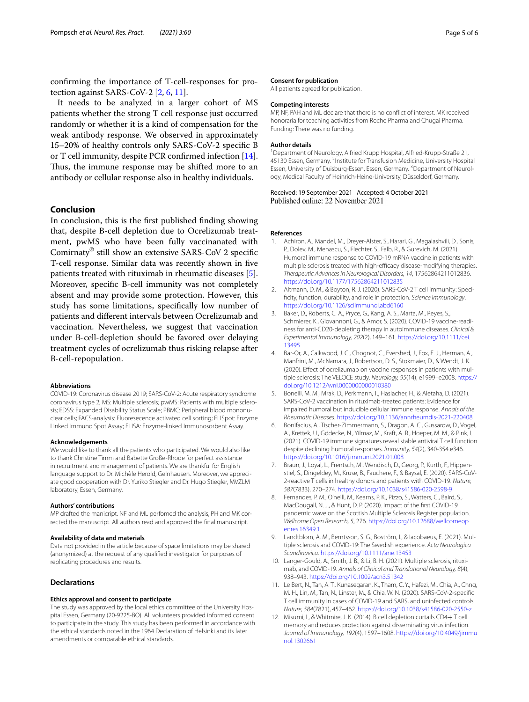confrming the importance of T-cell-responses for protection against SARS-CoV-2 [[2,](#page-4-8) [6](#page-4-9), [11](#page-4-10)].

It needs to be analyzed in a larger cohort of MS patients whether the strong T cell response just occurred randomly or whether it is a kind of compensation for the weak antibody response. We observed in approximately 15–20% of healthy controls only SARS-CoV-2 specifc B or T cell immunity, despite PCR confrmed infection [\[14](#page-5-2)]. Thus, the immune response may be shifted more to an antibody or cellular response also in healthy individuals.

# **Conclusion**

In conclusion, this is the frst published fnding showing that, despite B-cell depletion due to Ocrelizumab treatment, pwMS who have been fully vaccinanated with Comirnaty® still show an extensive SARS-CoV 2 specifc T-cell response. Similar data was recently shown in fve patients treated with rituximab in rheumatic diseases [\[5](#page-4-11)]. Moreover, specifc B-cell immunity was not completely absent and may provide some protection. However, this study has some limitations, specifcally low number of patients and diferent intervals between Ocrelizumab and vaccination. Nevertheless, we suggest that vaccination under B-cell-depletion should be favored over delaying treatment cycles of ocrelizumab thus risking relapse after B-cell-repopulation.

#### **Abbreviations**

COVID-19: Coronavirus disease 2019; SARS-CoV-2: Acute respiratory syndrome coronavirus type 2; MS: Multiple sclerosis; pwMS: Patients with multiple sclerosis; EDSS: Expanded Disability Status Scale; PBMC: Peripheral blood mononuclear cells; FACS-analysis: Fluoresecence activated cell sorting; ELISpot: Enzyme Linked Immuno Spot Assay; ELISA: Enzyme-linked Immunosorbent Assay.

#### **Acknowledgements**

We would like to thank all the patients who participated. We would also like to thank Christine Timm and Babette Große-Rhode for perfect assistance in recruitment and management of patients. We are thankful for English language support to Dr. Michèle Herold, Gelnhausen. Moreover, we appreciate good cooperation with Dr. Yuriko Stiegler and Dr. Hugo Stiegler, MVZLM laboratory, Essen, Germany.

#### **Authors' contributions**

MP drafted the manicript. NF and ML perfomed the analysis, PH and MK corrected the manuscript. All authors read and approved the fnal manuscript.

#### **Availability of data and materials**

Data not provided in the article because of space limitations may be shared (anonymized) at the request of any qualifed investigator for purposes of replicating procedures and results.

## **Declarations**

## **Ethics approval and consent to participate**

The study was approved by the local ethics committee of the University Hospital Essen, Germany (20-9225-BO). All volunteers provided informed consent to participate in the study. This study has been performed in accordance with the ethical standards noted in the 1964 Declaration of Helsinki and its later amendments or comparable ethical standards.

#### **Consent for publication**

All patients agreed for publication.

# **Competing interests**

MP, NF, PAH and ML declare that there is no confict of interest. MK received honoraria for teaching activities from Roche Pharma and Chugai Pharma. Funding: There was no funding.

#### **Author details**

<sup>1</sup> Department of Neurology, Alfried Krupp Hospital, Alfried-Krupp-Straße 21, 45130 Essen, Germany. <sup>2</sup>Institute for Transfusion Medicine, University Hospital Essen, University of Duisburg-Essen, Essen, Germany. <sup>3</sup> Department of Neurology, Medical Faculty of Heinrich-Heine-University, Düsseldorf, Germany.

Received: 19 September 2021 Accepted: 4 October 2021 Published online: 22 November 2021

#### **References**

- <span id="page-4-5"></span>1. Achiron, A., Mandel, M., Dreyer-Alster, S., Harari, G., Magalashvili, D., Sonis, P., Dolev, M., Menascu, S., Flechter, S., Falb, R., & Gurevich, M. (2021). Humoral immune response to COVID-19 mRNA vaccine in patients with multiple sclerosis treated with high-efficacy disease-modifying therapies. *Therapeutic Advances in Neurological Disorders, 14*, 17562864211012836. <https://doi.org/10.1177/17562864211012835>
- <span id="page-4-8"></span>2. Altmann, D. M., & Boyton, R. J. (2020). SARS-CoV-2 T cell immunity: Specifcity, function, durability, and role in protection. *Science Immunology*. <https://doi.org/10.1126/sciimmunol.abd6160>
- <span id="page-4-6"></span>Baker, D., Roberts, C. A., Pryce, G., Kang, A. S., Marta, M., Reyes, S., Schmierer, K., Giovannoni, G., & Amor, S. (2020). COVID-19 vaccine-readiness for anti-CD20-depleting therapy in autoimmune diseases. *Clinical & Experimental Immunology, 202*(2), 149–161. [https://doi.org/10.1111/cei.](https://doi.org/10.1111/cei.13495) [13495](https://doi.org/10.1111/cei.13495)
- <span id="page-4-4"></span>Bar-Or, A., Calkwood, J. C., Chognot, C., Evershed, J., Fox, E. J., Herman, A., Manfrini, M., McNamara, J., Robertson, D. S., Stokmaier, D., & Wendt, J. K. (2020). Efect of ocrelizumab on vaccine responses in patients with multiple sclerosis: The VELOCE study. *Neurology, 95*(14), e1999–e2008. [https://](https://doi.org/10.1212/wnl.0000000000010380) [doi.org/10.1212/wnl.0000000000010380](https://doi.org/10.1212/wnl.0000000000010380)
- <span id="page-4-11"></span>5. Bonelli, M. M., Mrak, D., Perkmann, T., Haslacher, H., & Aletaha, D. (2021). SARS-CoV-2 vaccination in rituximab-treated patients: Evidence for impaired humoral but inducible cellular immune response. *Annals of the Rheumatic Diseases*.<https://doi.org/10.1136/annrheumdis-2021-220408>
- <span id="page-4-9"></span>6. Bonifacius, A., Tischer-Zimmermann, S., Dragon, A. C., Gussarow, D., Vogel, A., Krettek, U., Gödecke, N., Yilmaz, M., Kraft, A. R., Hoeper, M. M., & Pink, I. (2021). COVID-19 immune signatures reveal stable antiviral T cell function despite declining humoral responses. *Immunity, 54*(2), 340-354.e346. <https://doi.org/10.1016/j.immuni.2021.01.008>
- <span id="page-4-7"></span>7. Braun, J., Loyal, L., Frentsch, M., Wendisch, D., Georg, P., Kurth, F., Hippenstiel, S., Dingeldey, M., Kruse, B., Fauchere, F., & Baysal, E. (2020). SARS-CoV-2-reactive T cells in healthy donors and patients with COVID-19. *Nature, 587*(7833), 270–274.<https://doi.org/10.1038/s41586-020-2598-9>
- <span id="page-4-0"></span>8. Fernandes, P. M., O'neill, M., Kearns, P. K., Pizzo, S., Watters, C., Baird, S., MacDougall, N. J., & Hunt, D. P. (2020). Impact of the frst COVID-19 pandemic wave on the Scottish Multiple Sclerosis Register population. *Wellcome Open Research, 5*, 276. [https://doi.org/10.12688/wellcomeop](https://doi.org/10.12688/wellcomeopenres.16349.1) [enres.16349.1](https://doi.org/10.12688/wellcomeopenres.16349.1)
- <span id="page-4-1"></span>Landtblom, A. M., Berntsson, S. G., Boström, I., & Iacobaeus, E. (2021). Multiple sclerosis and COVID-19: The Swedish experience. *Acta Neurologica Scandinavica*.<https://doi.org/10.1111/ane.13453>
- <span id="page-4-2"></span>10. Langer-Gould, A., Smith, J. B., & Li, B. H. (2021). Multiple sclerosis, rituximab, and COVID-19. *Annals of Clinical and Translational Neurology, 8*(4), 938–943.<https://doi.org/10.1002/acn3.51342>
- <span id="page-4-10"></span>11. Le Bert, N., Tan, A. T., Kunasegaran, K., Tham, C. Y., Hafezi, M., Chia, A., Chng, M. H., Lin, M., Tan, N., Linster, M., & Chia, W. N. (2020). SARS-CoV-2-specifc T cell immunity in cases of COVID-19 and SARS, and uninfected controls. *Nature, 584*(7821), 457–462. <https://doi.org/10.1038/s41586-020-2550-z>
- <span id="page-4-3"></span>12. Misumi, I., & Whitmire, J. K. (2014). B cell depletion curtails CD4+ T cell memory and reduces protection against disseminating virus infection. *Journal of Immunology, 192*(4), 1597–1608. [https://doi.org/10.4049/jimmu](https://doi.org/10.4049/jimmunol.1302661) [nol.1302661](https://doi.org/10.4049/jimmunol.1302661)